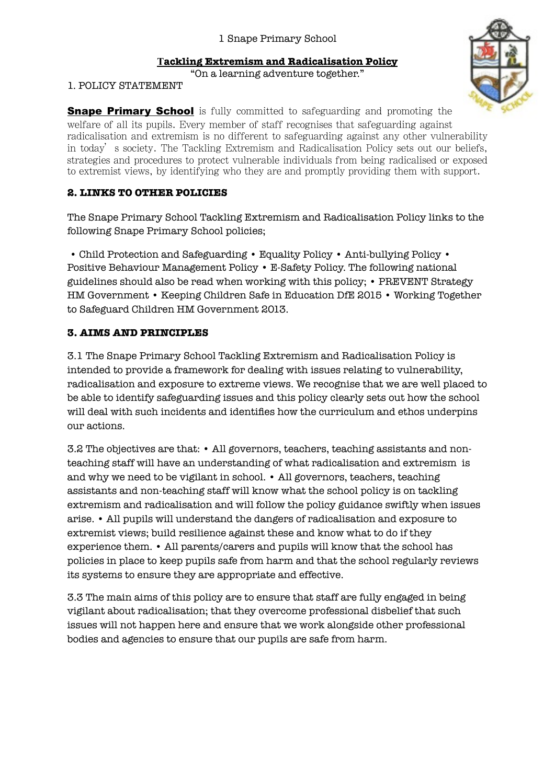### **Tackling Extremism and Radicalisation Policy**

"On a learning adventure together."

1. POLICY STATEMENT

**Snape Primary School** is fully committed to safeguarding and promoting the welfare of all its pupils. Every member of staff recognises that safeguarding against radicalisation and extremism is no different to safeguarding against any other vulnerability in today's society. The Tackling Extremism and Radicalisation Policy sets out our beliefs, strategies and procedures to protect vulnerable individuals from being radicalised or exposed to extremist views, by identifying who they are and promptly providing them with support.

### **2. LINKS TO OTHER POLICIES**

The Snape Primary School Tackling Extremism and Radicalisation Policy links to the following Snape Primary School policies;

 • Child Protection and Safeguarding • Equality Policy • Anti-bullying Policy • Positive Behaviour Management Policy • E-Safety Policy. The following national guidelines should also be read when working with this policy; • PREVENT Strategy HM Government • Keeping Children Safe in Education DfE 2015 • Working Together to Safeguard Children HM Government 2013.

# **3. AIMS AND PRINCIPLES**

3.1 The Snape Primary School Tackling Extremism and Radicalisation Policy is intended to provide a framework for dealing with issues relating to vulnerability, radicalisation and exposure to extreme views. We recognise that we are well placed to be able to identify safeguarding issues and this policy clearly sets out how the school will deal with such incidents and identifies how the curriculum and ethos underpins our actions.

3.2 The objectives are that: • All governors, teachers, teaching assistants and nonteaching staff will have an understanding of what radicalisation and extremism is and why we need to be vigilant in school. • All governors, teachers, teaching assistants and non-teaching staff will know what the school policy is on tackling extremism and radicalisation and will follow the policy guidance swiftly when issues arise. • All pupils will understand the dangers of radicalisation and exposure to extremist views; build resilience against these and know what to do if they experience them. • All parents/carers and pupils will know that the school has policies in place to keep pupils safe from harm and that the school regularly reviews its systems to ensure they are appropriate and effective.

3.3 The main aims of this policy are to ensure that staff are fully engaged in being vigilant about radicalisation; that they overcome professional disbelief that such issues will not happen here and ensure that we work alongside other professional bodies and agencies to ensure that our pupils are safe from harm.

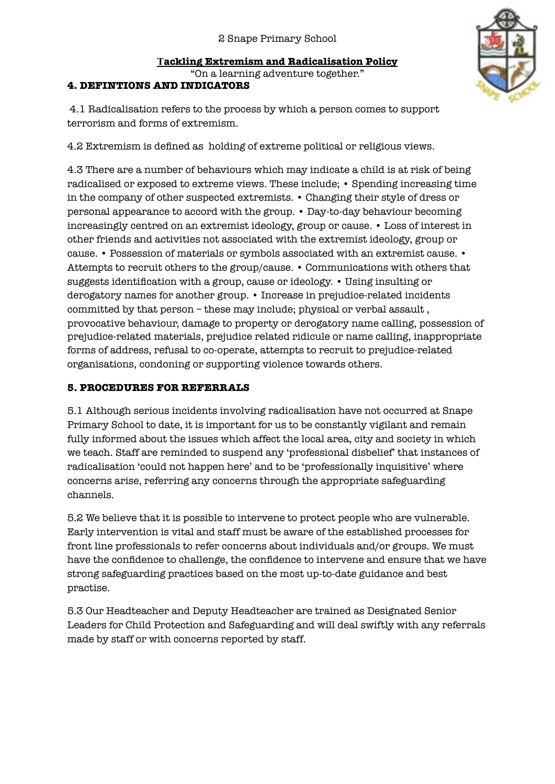# **Tackling Extremism and Radicalisation Policy** "On a learning adventure together."

#### **4. DEFINTIONS AND INDICATORS**

 4.1 Radicalisation refers to the process by which a person comes to support terrorism and forms of extremism.

4.2 Extremism is defined as holding of extreme political or religious views.

4.3 There are a number of behaviours which may indicate a child is at risk of being radicalised or exposed to extreme views. These include; • Spending increasing time in the company of other suspected extremists. • Changing their style of dress or personal appearance to accord with the group. • Day-to-day behaviour becoming increasingly centred on an extremist ideology, group or cause. • Loss of interest in other friends and activities not associated with the extremist ideology, group or cause. • Possession of materials or symbols associated with an extremist cause. • Attempts to recruit others to the group/cause. • Communications with others that suggests identification with a group, cause or ideology. • Using insulting or derogatory names for another group. • Increase in prejudice-related incidents committed by that person – these may include; physical or verbal assault , provocative behaviour, damage to property or derogatory name calling, possession of prejudice-related materials, prejudice related ridicule or name calling, inappropriate forms of address, refusal to co-operate, attempts to recruit to prejudice-related organisations, condoning or supporting violence towards others.

### **5. PROCEDURES FOR REFERRALS**

5.1 Although serious incidents involving radicalisation have not occurred at Snape Primary School to date, it is important for us to be constantly vigilant and remain fully informed about the issues which affect the local area, city and society in which we teach. Staff are reminded to suspend any 'professional disbelief' that instances of radicalisation 'could not happen here' and to be 'professionally inquisitive' where concerns arise, referring any concerns through the appropriate safeguarding channels.

5.2 We believe that it is possible to intervene to protect people who are vulnerable. Early intervention is vital and staff must be aware of the established processes for front line professionals to refer concerns about individuals and/or groups. We must have the confidence to challenge, the confidence to intervene and ensure that we have strong safeguarding practices based on the most up-to-date guidance and best practise.

5.3 Our Headteacher and Deputy Headteacher are trained as Designated Senior Leaders for Child Protection and Safeguarding and will deal swiftly with any referrals made by staff or with concerns reported by staff.

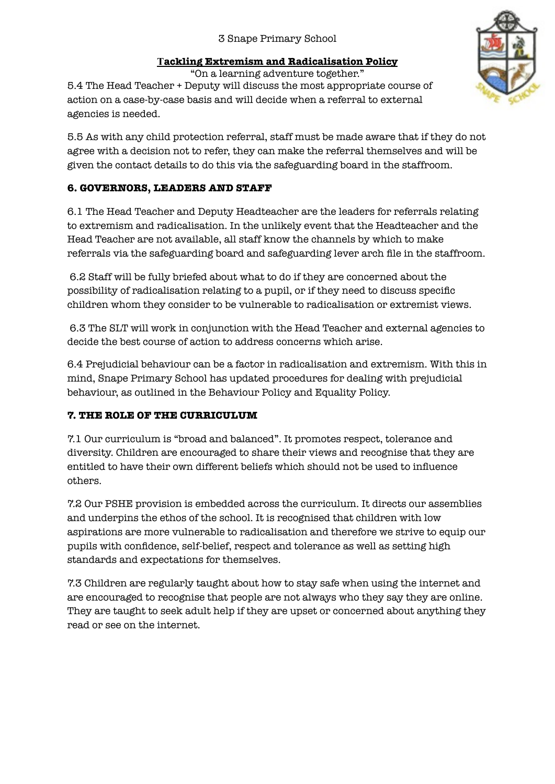# 3 Snape Primary School

### **Tackling Extremism and Radicalisation Policy**

"On a learning adventure together."

5.4 The Head Teacher + Deputy will discuss the most appropriate course of action on a case-by-case basis and will decide when a referral to external agencies is needed.

5.5 As with any child protection referral, staff must be made aware that if they do not agree with a decision not to refer, they can make the referral themselves and will be given the contact details to do this via the safeguarding board in the staffroom.

# **6. GOVERNORS, LEADERS AND STAFF**

6.1 The Head Teacher and Deputy Headteacher are the leaders for referrals relating to extremism and radicalisation. In the unlikely event that the Headteacher and the Head Teacher are not available, all staff know the channels by which to make referrals via the safeguarding board and safeguarding lever arch file in the staffroom.

 6.2 Staff will be fully briefed about what to do if they are concerned about the possibility of radicalisation relating to a pupil, or if they need to discuss specific children whom they consider to be vulnerable to radicalisation or extremist views.

 6.3 The SLT will work in conjunction with the Head Teacher and external agencies to decide the best course of action to address concerns which arise.

6.4 Prejudicial behaviour can be a factor in radicalisation and extremism. With this in mind, Snape Primary School has updated procedures for dealing with prejudicial behaviour, as outlined in the Behaviour Policy and Equality Policy.

#### **7. THE ROLE OF THE CURRICULUM**

7.1 Our curriculum is "broad and balanced". It promotes respect, tolerance and diversity. Children are encouraged to share their views and recognise that they are entitled to have their own different beliefs which should not be used to influence others.

7.2 Our PSHE provision is embedded across the curriculum. It directs our assemblies and underpins the ethos of the school. It is recognised that children with low aspirations are more vulnerable to radicalisation and therefore we strive to equip our pupils with confidence, self-belief, respect and tolerance as well as setting high standards and expectations for themselves.

7.3 Children are regularly taught about how to stay safe when using the internet and are encouraged to recognise that people are not always who they say they are online. They are taught to seek adult help if they are upset or concerned about anything they read or see on the internet.